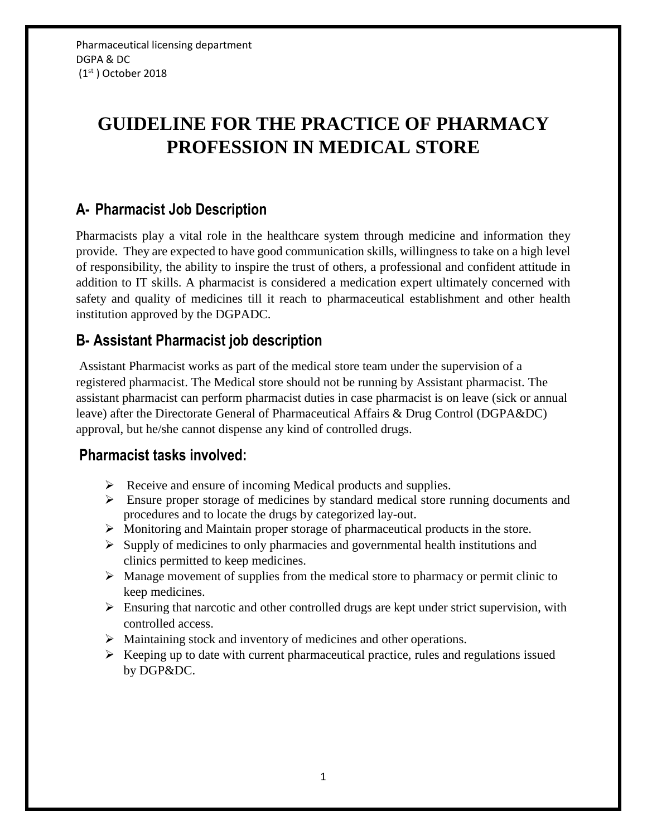# **GUIDELINE FOR THE PRACTICE OF PHARMACY PROFESSION IN MEDICAL STORE**

## **A- Pharmacist Job Description**

Pharmacists play a vital role in the healthcare system through medicine and information they provide. They are expected to have good communication skills, willingness to take on a high level of responsibility, the ability to inspire the trust of others, a professional and confident attitude in addition to IT skills. A pharmacist is considered a medication expert ultimately concerned with safety and quality of medicines till it reach to pharmaceutical establishment and other health institution approved by the DGPADC.

# **B- Assistant Pharmacist job description**

Assistant Pharmacist works as part of the medical store team under the supervision of a registered pharmacist. The Medical store should not be running by Assistant pharmacist. The assistant pharmacist can perform pharmacist duties in case pharmacist is on leave (sick or annual leave) after the Directorate General of Pharmaceutical Affairs & Drug Control (DGPA&DC) approval, but he/she cannot dispense any kind of controlled drugs.

#### **Pharmacist tasks involved:**

- $\triangleright$  Receive and ensure of incoming Medical products and supplies.
- Ensure proper storage of medicines by standard medical store running documents and procedures and to locate the drugs by categorized lay-out.
- $\triangleright$  Monitoring and Maintain proper storage of pharmaceutical products in the store.
- $\triangleright$  Supply of medicines to only pharmacies and governmental health institutions and clinics permitted to keep medicines.
- $\triangleright$  Manage movement of supplies from the medical store to pharmacy or permit clinic to keep medicines.
- $\triangleright$  Ensuring that narcotic and other controlled drugs are kept under strict supervision, with controlled access.
- Maintaining stock and inventory of medicines and other operations.
- $\triangleright$  Keeping up to date with current pharmaceutical practice, rules and regulations issued by DGP&DC.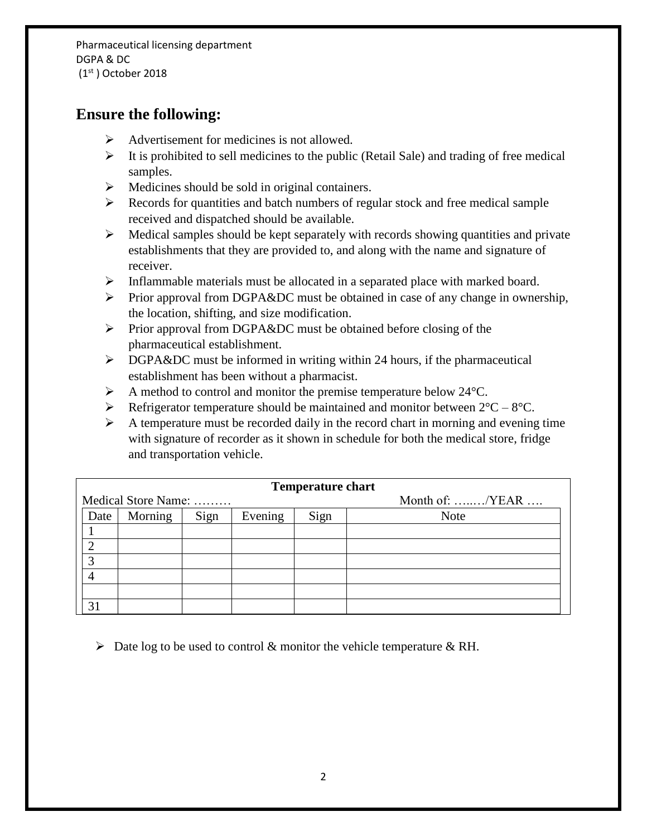#### **Ensure the following:**

- $\triangleright$  Advertisement for medicines is not allowed.
- $\triangleright$  It is prohibited to sell medicines to the public (Retail Sale) and trading of free medical samples.
- $\triangleright$  Medicines should be sold in original containers.
- $\triangleright$  Records for quantities and batch numbers of regular stock and free medical sample received and dispatched should be available.
- $\triangleright$  Medical samples should be kept separately with records showing quantities and private establishments that they are provided to, and along with the name and signature of receiver.
- $\triangleright$  Inflammable materials must be allocated in a separated place with marked board.
- $\triangleright$  Prior approval from DGPA&DC must be obtained in case of any change in ownership, the location, shifting, and size modification.
- $\triangleright$  Prior approval from DGPA&DC must be obtained before closing of the pharmaceutical establishment.
- $\triangleright$  DGPA&DC must be informed in writing within 24 hours, if the pharmaceutical establishment has been without a pharmacist.
- $\triangleright$  A method to control and monitor the premise temperature below 24 °C.
- $\triangleright$  Refrigerator temperature should be maintained and monitor between  $2^{\circ}C 8^{\circ}C$ .
- $\triangleright$  A temperature must be recorded daily in the record chart in morning and evening time with signature of recorder as it shown in schedule for both the medical store, fridge and transportation vehicle.

| <b>Temperature chart</b> |         |      |         |      |                 |
|--------------------------|---------|------|---------|------|-----------------|
| Medical Store Name:      |         |      |         |      | Month of: /YEAR |
| Date                     | Morning | Sign | Evening | Sign | <b>Note</b>     |
|                          |         |      |         |      |                 |
| $\overline{2}$           |         |      |         |      |                 |
| 3                        |         |      |         |      |                 |
|                          |         |      |         |      |                 |
|                          |         |      |         |      |                 |
| 31                       |         |      |         |      |                 |

 $\triangleright$  Date log to be used to control & monitor the vehicle temperature & RH.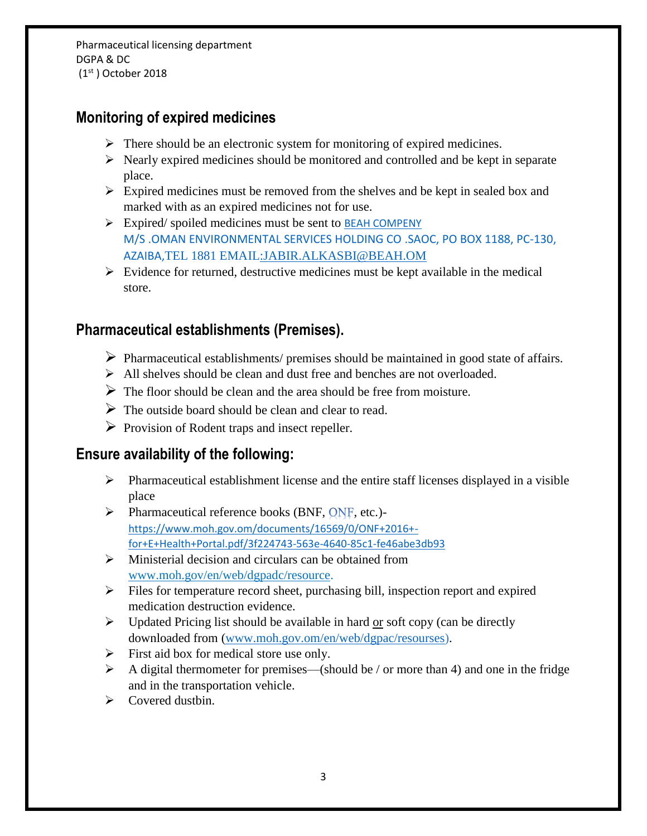# **Monitoring of expired medicines**

- $\triangleright$  There should be an electronic system for monitoring of expired medicines.
- $\triangleright$  Nearly expired medicines should be monitored and controlled and be kept in separate place.
- $\triangleright$  Expired medicines must be removed from the shelves and be kept in sealed box and marked with as an expired medicines not for use.
- $\triangleright$  Expired/ spoiled medicines must be sent to BEAH COMPENY M/S .OMAN ENVIRONMENTAL SERVICES HOLDING CO .SAOC, PO BOX 1188, PC-130, AZAIBA,TEL 1881 EMAIL:JABIR.ALKASBI@BEAH.OM
- $\triangleright$  Evidence for returned, destructive medicines must be kept available in the medical store.

### **Pharmaceutical establishments (Premises).**

- $\triangleright$  Pharmaceutical establishments/ premises should be maintained in good state of affairs.
- > All shelves should be clean and dust free and benches are not overloaded.
- $\triangleright$  The floor should be clean and the area should be free from moisture.
- $\triangleright$  The outside board should be clean and clear to read.
- $\triangleright$  Provision of Rodent traps and insect repeller.

### **Ensure availability of the following:**

- $\triangleright$  Pharmaceutical establishment license and the entire staff licenses displayed in a visible place
- $\triangleright$  Pharmaceutical reference books (BNF, ONF, etc.)[https://www.moh.gov.om/documents/16569/0/ONF+2016+](https://www.moh.gov.om/documents/16569/0/ONF+2016+-for+E+Health+Portal.pdf/3f224743-563e-4640-85c1-fe46abe3db93) [for+E+Health+Portal.pdf/3f224743-563e-4640-85c1-fe46abe3db93](https://www.moh.gov.om/documents/16569/0/ONF+2016+-for+E+Health+Portal.pdf/3f224743-563e-4640-85c1-fe46abe3db93)
- $\triangleright$  Ministerial decision and circulars can be obtained from [www.moh.gov/en/web/dgpadc/resource.](http://www.moh.gov/en/web/dgpadc/resource)
- $\triangleright$  Files for temperature record sheet, purchasing bill, inspection report and expired medication destruction evidence.
- $\triangleright$  Updated Pricing list should be available in hard or soft copy (can be directly downloaded from [\(www.moh.gov.om/en/web/dgpac/resourses\)](http://www.moh.gov.om/en/web/dgpac/resourses).
- $\triangleright$  First aid box for medical store use only.
- $\triangleright$  A digital thermometer for premises—(should be / or more than 4) and one in the fridge and in the transportation vehicle.
- $\triangleright$  Covered dustbin.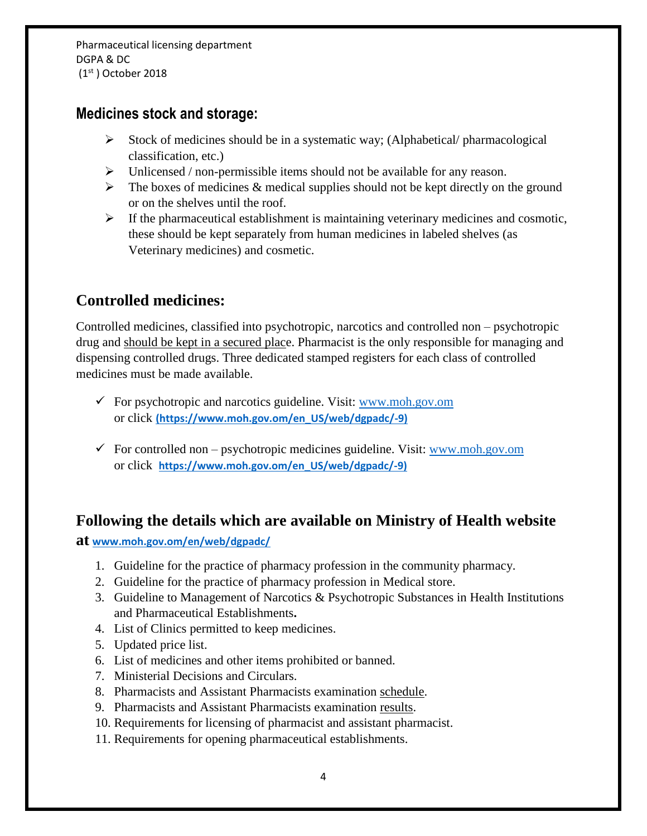#### **Medicines stock and storage:**

- $\triangleright$  Stock of medicines should be in a systematic way; (Alphabetical/ pharmacological) classification, etc.)
- $\triangleright$  Unlicensed / non-permissible items should not be available for any reason.
- $\triangleright$  The boxes of medicines & medical supplies should not be kept directly on the ground or on the shelves until the roof.
- $\triangleright$  If the pharmaceutical establishment is maintaining veterinary medicines and cosmotic, these should be kept separately from human medicines in labeled shelves (as Veterinary medicines) and cosmetic.

# **Controlled medicines:**

Controlled medicines, classified into psychotropic, narcotics and controlled non – psychotropic drug and should be kept in a secured place. Pharmacist is the only responsible for managing and dispensing controlled drugs. Three dedicated stamped registers for each class of controlled medicines must be made available.

- $\checkmark$  For psychotropic and narcotics guideline. Visit: www.moh.gov.om or click **[\(https://www.moh.gov.om/en\\_US/web/dgpadc/-9\)](https://www.moh.gov.om/en_US/web/dgpadc/-9)**
- $\checkmark$  For controlled non psychotropic medicines guideline. Visit: www.moh.gov.om or click **[https://www.moh.gov.om/en\\_US/web/dgpadc/-9\)](https://www.moh.gov.om/en_US/web/dgpadc/-9)**

### **Following the details which are available on Ministry of Health website**

**at www.moh.gov.om/en/web/dgpadc/**

- 1. Guideline for the practice of pharmacy profession in the community pharmacy.
- 2. Guideline for the practice of pharmacy profession in Medical store.
- 3. Guideline [to Management of Narcotics & Psychotropic Substances in Health Institutions](https://www.moh.gov.om/documents/16539/101124/eng+1.pdf/a34b8473-80d3-4151-9ec6-f2213bcbf3b6)  [and Pharmaceutical Establishments](https://www.moh.gov.om/documents/16539/101124/eng+1.pdf/a34b8473-80d3-4151-9ec6-f2213bcbf3b6)**.**
- 4. List of Clinics permitted to keep medicines.
- 5. Updated price list.
- 6. List of medicines and other items prohibited or banned.
- 7. Ministerial Decisions and Circulars.
- 8. Pharmacists and Assistant Pharmacists examination schedule.
- 9. Pharmacists and Assistant Pharmacists examination results.
- 10. Requirements for licensing of pharmacist and assistant pharmacist.
- 11. Requirements for opening pharmaceutical establishments.